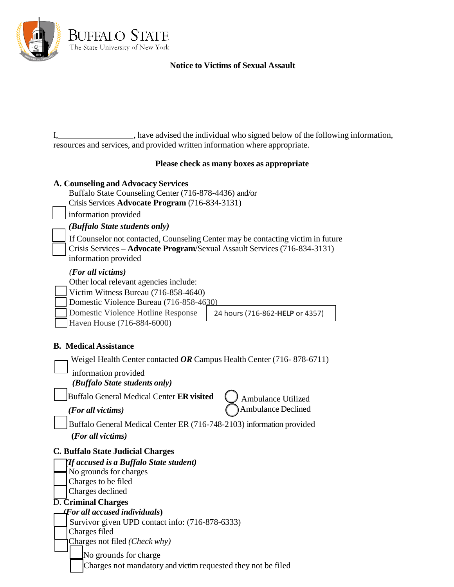

## **Notice to Victims of Sexual Assault**

| , have advised the individual who signed below of the following information, |
|------------------------------------------------------------------------------|
| resources and services, and provided written information where appropriate.  |

## **Please check as many boxes as appropriate**

| A. Counseling and Advocacy Services<br>Buffalo State Counseling Center (716-878-4436) and/or<br>Crisis Services Advocate Program (716-834-3131)<br>information provided                                            |                                 |  |  |
|--------------------------------------------------------------------------------------------------------------------------------------------------------------------------------------------------------------------|---------------------------------|--|--|
| (Buffalo State students only)                                                                                                                                                                                      |                                 |  |  |
| If Counselor not contacted, Counseling Center may be contacting victim in future<br>Crisis Services - Advocate Program/Sexual Assault Services (716-834-3131)<br>information provided                              |                                 |  |  |
| (For all victims)<br>Other local relevant agencies include:<br>Victim Witness Bureau (716-858-4640)<br>Domestic Violence Bureau (716-858-4630)<br>Domestic Violence Hotline Response<br>Haven House (716-884-6000) | 24 hours (716-862-HELP or 4357) |  |  |
| <b>B.</b> Medical Assistance                                                                                                                                                                                       |                                 |  |  |
| Weigel Health Center contacted OR Campus Health Center (716-878-6711)                                                                                                                                              |                                 |  |  |
| information provided<br>(Buffalo State students only)                                                                                                                                                              |                                 |  |  |
| Buffalo General Medical Center ER visited                                                                                                                                                                          | <b>Ambulance Utilized</b>       |  |  |
| (For all victims)                                                                                                                                                                                                  | <b>Ambulance Declined</b>       |  |  |
| Buffalo General Medical Center ER (716-748-2103) information provided<br>(For all victims)                                                                                                                         |                                 |  |  |
| <b>C. Buffalo State Judicial Charges</b>                                                                                                                                                                           |                                 |  |  |
| If accused is a Buffalo State student)                                                                                                                                                                             |                                 |  |  |
| No grounds for charges<br>Charges to be filed                                                                                                                                                                      |                                 |  |  |
| Charges declined                                                                                                                                                                                                   |                                 |  |  |
| <b>D. Criminal Charges</b>                                                                                                                                                                                         |                                 |  |  |
| For all accused individuals)                                                                                                                                                                                       |                                 |  |  |
| Survivor given UPD contact info: (716-878-6333)                                                                                                                                                                    |                                 |  |  |
| Charges filed<br>Charges not filed (Check why)                                                                                                                                                                     |                                 |  |  |
| No grounds for charge                                                                                                                                                                                              |                                 |  |  |
| Charges not mandatory and victim requested they not be filed                                                                                                                                                       |                                 |  |  |